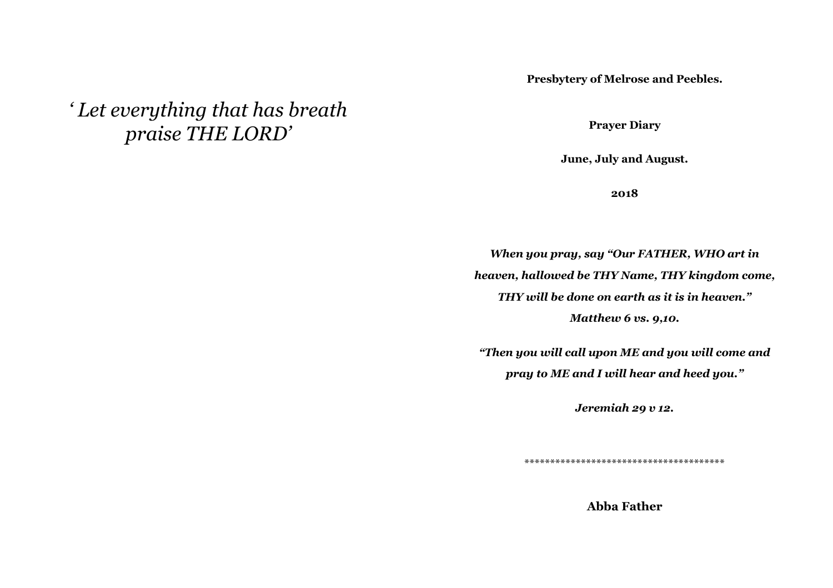**Presbytery of Melrose and Peebles.** 

*' Let everything that has breath praise THE LORD'* 

**Prayer Diary** 

**June, July and August.** 

**2018** 

*When you pray, say "Our FATHER, WHO art in heaven, hallowed be THY Name, THY kingdom come, THY will be done on earth as it is in heaven." Matthew 6 vs. 9,10. "Then you will call upon ME and you will come and* 

*pray to ME and I will hear and heed you."* 

*Jeremiah 29 v 12.* 

\*\*\*\*\*\*\*\*\*\*\*\*\*\*\*\*\*\*\*\*\*\*\*\*\*\*\*\*\*\*\*\*\*\*\*\*\*\*\*

**Abba Father**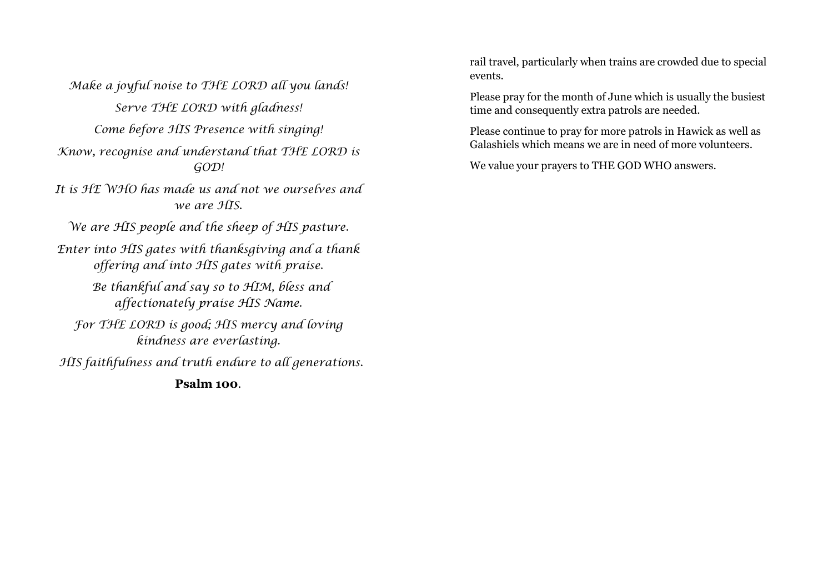Make a joyful noise to THE LORD all you lands! Serve THE LORD with gladness! Come before HIS Presence with singing! Know, recognise and understand that THE LORD is GOD! It is HE WHO has made us and not we ourselves and we are HIS. We are HIS people and the sheep of HIS pasture. Enter into HIS gates with thanksgiving and a thank offering and into HIS gates with praise.

> Be thankful and say so to HIM, bless and affectionately praise HIS Name.

For THE LORD is good; HIS mercy and loving kindness are everlasting.

HIS faithfulness and truth endure to all generations.

**Psalm 100**.

rail travel, particularly when trains are crowded due to special events.

Please pray for the month of June which is usually the busiest time and consequently extra patrols are needed.

Please continue to pray for more patrols in Hawick as well as Galashiels which means we are in need of more volunteers.

We value your prayers to THE GOD WHO answers.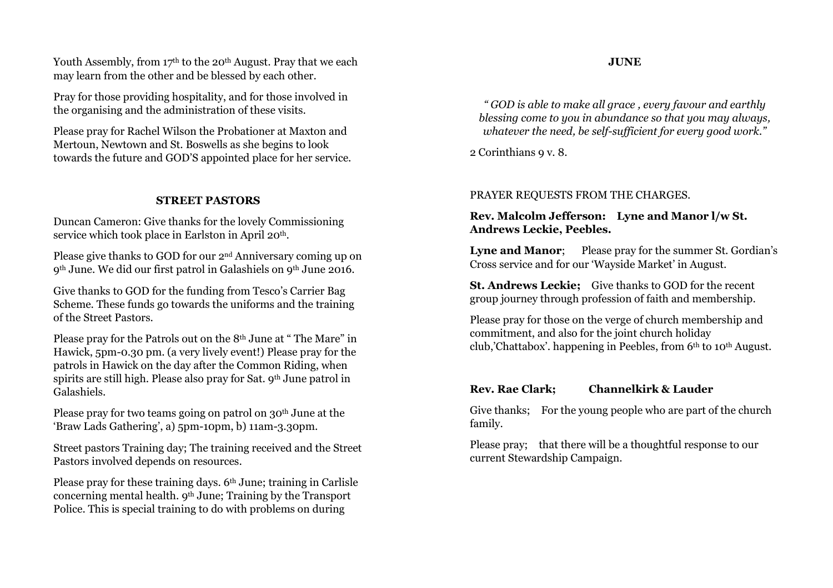Youth Assembly, from 17<sup>th</sup> to the 20<sup>th</sup> August. Pray that we each may learn from the other and be blessed by each other.

Pray for those providing hospitality, and for those involved in the organising and the administration of these visits.

Please pray for Rachel Wilson the Probationer at Maxton and Mertoun, Newtown and St. Boswells as she begins to look towards the future and GOD'S appointed place for her service.

#### **STREET PASTORS**

Duncan Cameron: Give thanks for the lovely Commissioning service which took place in Earlston in April 20<sup>th</sup>.

Please give thanks to GOD for our 2nd Anniversary coming up on 9<sup>th</sup> June. We did our first patrol in Galashiels on 9<sup>th</sup> June 2016.

Give thanks to GOD for the funding from Tesco's Carrier Bag Scheme. These funds go towards the uniforms and the training of the Street Pastors.

Please pray for the Patrols out on the 8<sup>th</sup> June at "The Mare" in Hawick, 5pm-0.30 pm. (a very lively event!) Please pray for the patrols in Hawick on the day after the Common Riding, when spirits are still high. Please also pray for Sat. 9<sup>th</sup> June patrol in Galashiels.

Please pray for two teams going on patrol on 30<sup>th</sup> June at the 'Braw Lads Gathering', a) 5pm-10pm, b) 11am-3.30pm.

Street pastors Training day; The training received and the Street Pastors involved depends on resources.

Please pray for these training days. 6<sup>th</sup> June; training in Carlisle concerning mental health. 9th June; Training by the Transport Police. This is special training to do with problems on during

*" GOD is able to make all grace , every favour and earthly blessing come to you in abundance so that you may always, whatever the need, be self-sufficient for every good work."* 

2 Corinthians 9 v. 8.

#### PRAYER REQUESTS FROM THE CHARGES.

#### **Rev. Malcolm Jefferson: Lyne and Manor l/w St. Andrews Leckie, Peebles.**

**Lyne and Manor**; Please pray for the summer St. Gordian's Cross service and for our 'Wayside Market' in August.

**St. Andrews Leckie;** Give thanks to GOD for the recent group journey through profession of faith and membership.

Please pray for those on the verge of church membership and commitment, and also for the joint church holiday club,'Chattabox'. happening in Peebles, from  $6<sup>th</sup>$  to 10<sup>th</sup> August.

#### **Rev. Rae Clark; Channelkirk & Lauder**

Give thanks; For the young people who are part of the church family.

Please pray; that there will be a thoughtful response to our current Stewardship Campaign.

#### **JUNE**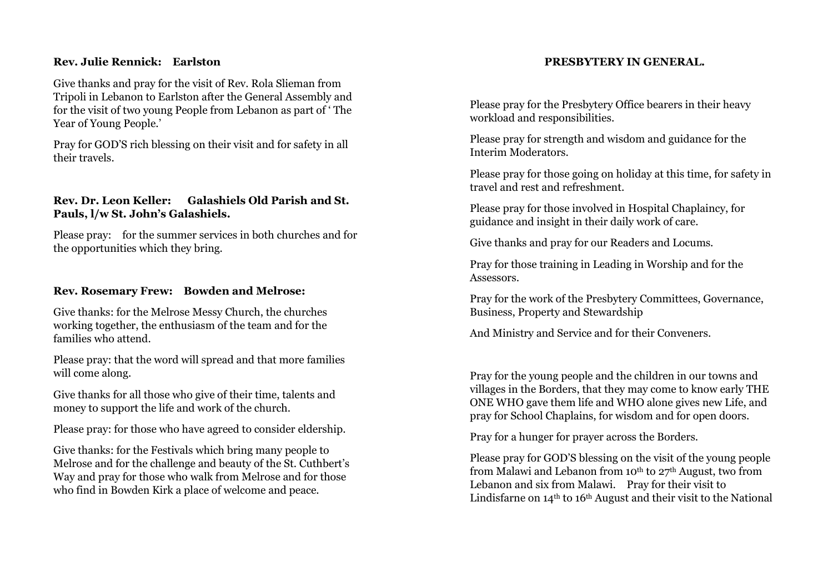#### **Rev. Julie Rennick: Earlston**

Give thanks and pray for the visit of Rev. Rola Slieman from Tripoli in Lebanon to Earlston after the General Assembly and for the visit of two young People from Lebanon as part of ' The Year of Young People.'

Pray for GOD'S rich blessing on their visit and for safety in all their travels.

## **Rev. Dr. Leon Keller: Galashiels Old Parish and St. Pauls, l/w St. John's Galashiels.**

Please pray: for the summer services in both churches and for the opportunities which they bring.

#### **Rev. Rosemary Frew: Bowden and Melrose:**

Give thanks: for the Melrose Messy Church, the churches working together, the enthusiasm of the team and for the families who attend.

Please pray: that the word will spread and that more families will come along.

Give thanks for all those who give of their time, talents and money to support the life and work of the church.

Please pray: for those who have agreed to consider eldership.

Give thanks: for the Festivals which bring many people to Melrose and for the challenge and beauty of the St. Cuthbert's Way and pray for those who walk from Melrose and for those who find in Bowden Kirk a place of welcome and peace.

#### **PRESBYTERY IN GENERAL.**

Please pray for the Presbytery Office bearers in their heavy workload and responsibilities.

Please pray for strength and wisdom and guidance for the Interim Moderators.

Please pray for those going on holiday at this time, for safety in travel and rest and refreshment.

Please pray for those involved in Hospital Chaplaincy, for guidance and insight in their daily work of care.

Give thanks and pray for our Readers and Locums.

Pray for those training in Leading in Worship and for the Assessors.

Pray for the work of the Presbytery Committees, Governance, Business, Property and Stewardship

And Ministry and Service and for their Conveners.

Pray for the young people and the children in our towns and villages in the Borders, that they may come to know early THE ONE WHO gave them life and WHO alone gives new Life, and pray for School Chaplains, for wisdom and for open doors.

Pray for a hunger for prayer across the Borders.

Please pray for GOD'S blessing on the visit of the young people from Malawi and Lebanon from 10<sup>th</sup> to 27<sup>th</sup> August, two from Lebanon and six from Malawi. Pray for their visit to Lindisfarne on  $14<sup>th</sup>$  to  $16<sup>th</sup>$  August and their visit to the National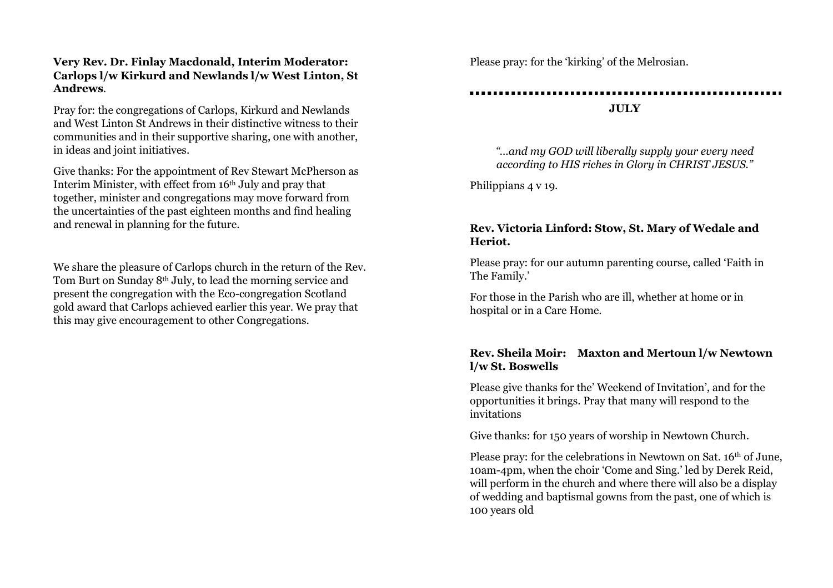## **Very Rev. Dr. Finlay Macdonald, Interim Moderator: Carlops l/w Kirkurd and Newlands l/w West Linton, St Andrews**.

Pray for: the congregations of Carlops, Kirkurd and Newlands and West Linton St Andrews in their distinctive witness to their communities and in their supportive sharing, one with another, in ideas and joint initiatives.

Give thanks: For the appointment of Rev Stewart McPherson as Interim Minister, with effect from 16th July and pray that together, minister and congregations may move forward from the uncertainties of the past eighteen months and find healing and renewal in planning for the future.

We share the pleasure of Carlops church in the return of the Rev. Tom Burt on Sunday 8th July, to lead the morning service and present the congregation with the Eco-congregation Scotland gold award that Carlops achieved earlier this year. We pray that this may give encouragement to other Congregations.

Please pray: for the 'kirking' of the Melrosian.

# **JULY**

*"…and my GOD will liberally supply your every need according to HIS riches in Glory in CHRIST JESUS."* 

Philippians 4 v 19.

## **Rev. Victoria Linford: Stow, St. Mary of Wedale and Heriot.**

Please pray: for our autumn parenting course, called 'Faith in The Family.'

For those in the Parish who are ill, whether at home or in hospital or in a Care Home.

## **Rev. Sheila Moir: Maxton and Mertoun l/w Newtown l/w St. Boswells**

Please give thanks for the' Weekend of Invitation', and for the opportunities it brings. Pray that many will respond to the invitations

Give thanks: for 150 years of worship in Newtown Church.

Please pray: for the celebrations in Newtown on Sat. 16<sup>th</sup> of June, 10am-4pm, when the choir 'Come and Sing.' led by Derek Reid, will perform in the church and where there will also be a display of wedding and baptismal gowns from the past, one of which is 100 years old